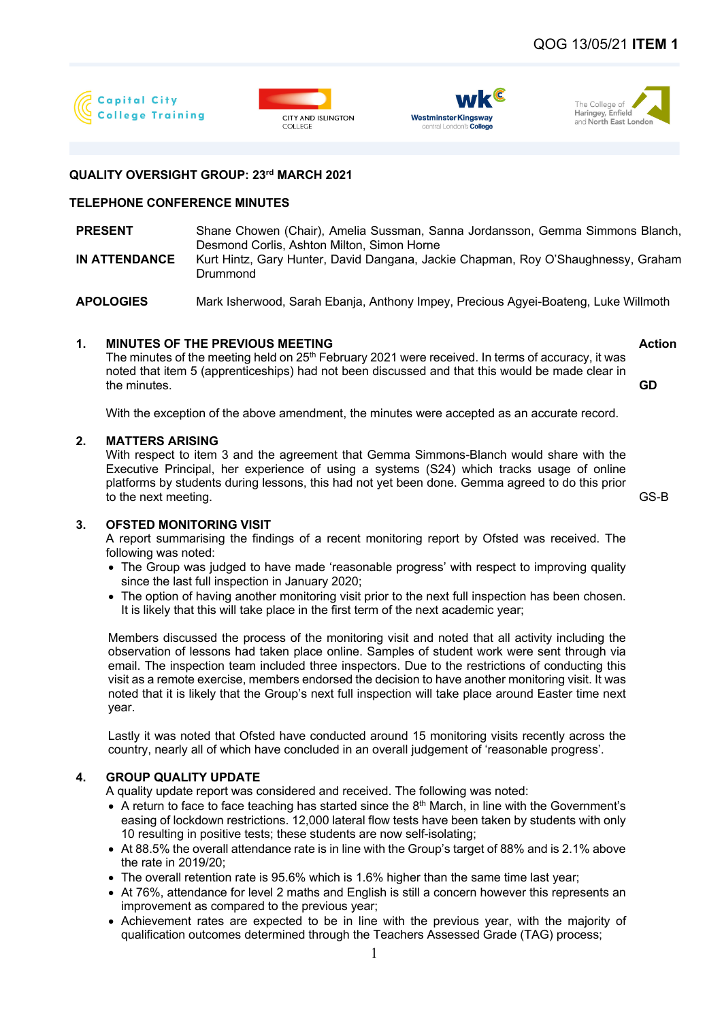







## **QUALITY OVERSIGHT GROUP: 23rd MARCH 2021**

# **TELEPHONE CONFERENCE MINUTES**

| Shane Chowen (Chair), Amelia Sussman, Sanna Jordansson, Gemma Simmons Blanch,                 |
|-----------------------------------------------------------------------------------------------|
| Desmond Corlis, Ashton Milton, Simon Horne                                                    |
| Kurt Hintz, Gary Hunter, David Dangana, Jackie Chapman, Roy O'Shaughnessy, Graham<br>Drummond |
|                                                                                               |

**APOLOGIES** Mark Isherwood, Sarah Ebanja, Anthony Impey, Precious Agyei-Boateng, Luke Willmoth

# **1. MINUTES OF THE PREVIOUS MEETING Action** Action

The minutes of the meeting held on  $25<sup>th</sup>$  February 2021 were received. In terms of accuracy, it was noted that item 5 (apprenticeships) had not been discussed and that this would be made clear in the minutes.

With the exception of the above amendment, the minutes were accepted as an accurate record.

### **2. MATTERS ARISING**

With respect to item 3 and the agreement that Gemma Simmons-Blanch would share with the Executive Principal, her experience of using a systems (S24) which tracks usage of online platforms by students during lessons, this had not yet been done. Gemma agreed to do this prior to the next meeting. GS-B

# **3. OFSTED MONITORING VISIT**

A report summarising the findings of a recent monitoring report by Ofsted was received. The following was noted:

- The Group was judged to have made 'reasonable progress' with respect to improving quality since the last full inspection in January 2020;
- The option of having another monitoring visit prior to the next full inspection has been chosen. It is likely that this will take place in the first term of the next academic year;

Members discussed the process of the monitoring visit and noted that all activity including the observation of lessons had taken place online. Samples of student work were sent through via email. The inspection team included three inspectors. Due to the restrictions of conducting this visit as a remote exercise, members endorsed the decision to have another monitoring visit. It was noted that it is likely that the Group's next full inspection will take place around Easter time next year.

Lastly it was noted that Ofsted have conducted around 15 monitoring visits recently across the country, nearly all of which have concluded in an overall judgement of 'reasonable progress'.

# **4. GROUP QUALITY UPDATE**

A quality update report was considered and received. The following was noted:

- $\bullet$  A return to face to face teaching has started since the  $8<sup>th</sup>$  March, in line with the Government's easing of lockdown restrictions. 12,000 lateral flow tests have been taken by students with only 10 resulting in positive tests; these students are now self-isolating;
- At 88.5% the overall attendance rate is in line with the Group's target of 88% and is 2.1% above the rate in 2019/20;
- The overall retention rate is 95.6% which is 1.6% higher than the same time last year;
- At 76%, attendance for level 2 maths and English is still a concern however this represents an improvement as compared to the previous year;
- Achievement rates are expected to be in line with the previous year, with the majority of qualification outcomes determined through the Teachers Assessed Grade (TAG) process;

**GD**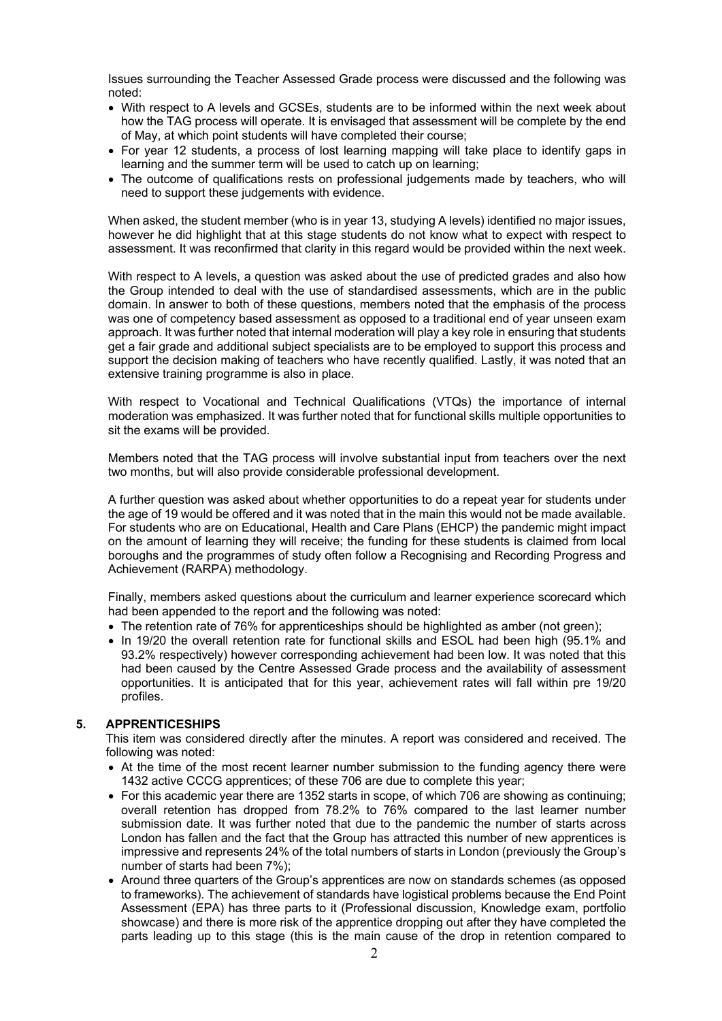Issues surrounding the Teacher Assessed Grade process were discussed and the following was noted:

- With respect to A levels and GCSEs, students are to be informed within the next week about how the TAG process will operate. It is envisaged that assessment will be complete by the end of May, at which point students will have completed their course;
- For year 12 students, a process of lost learning mapping will take place to identify gaps in learning and the summer term will be used to catch up on learning;
- The outcome of qualifications rests on professional judgements made by teachers, who will need to support these judgements with evidence.

When asked, the student member (who is in year 13, studying A levels) identified no major issues, however he did highlight that at this stage students do not know what to expect with respect to assessment. It was reconfirmed that clarity in this regard would be provided within the next week.

With respect to A levels, a question was asked about the use of predicted grades and also how the Group intended to deal with the use of standardised assessments, which are in the public domain. In answer to both of these questions, members noted that the emphasis of the process was one of competency based assessment as opposed to a traditional end of year unseen exam approach. It was further noted that internal moderation will play a key role in ensuring that students get a fair grade and additional subject specialists are to be employed to support this process and support the decision making of teachers who have recently qualified. Lastly, it was noted that an extensive training programme is also in place.

With respect to Vocational and Technical Qualifications (VTQs) the importance of internal moderation was emphasized. It was further noted that for functional skills multiple opportunities to sit the exams will be provided.

Members noted that the TAG process will involve substantial input from teachers over the next two months, but will also provide considerable professional development.

A further question was asked about whether opportunities to do a repeat year for students under the age of 19 would be offered and it was noted that in the main this would not be made available. For students who are on Educational, Health and Care Plans (EHCP) the pandemic might impact on the amount of learning they will receive; the funding for these students is claimed from local boroughs and the programmes of study often follow a Recognising and Recording Progress and Achievement (RARPA) methodology.

Finally, members asked questions about the curriculum and learner experience scorecard which had been appended to the report and the following was noted:

- The retention rate of 76% for apprenticeships should be highlighted as amber (not green);
- In 19/20 the overall retention rate for functional skills and ESOL had been high (95.1% and 93.2% respectively) however corresponding achievement had been low. It was noted that this had been caused by the Centre Assessed Grade process and the availability of assessment opportunities. It is anticipated that for this year, achievement rates will fall within pre 19/20 profiles.

#### **5. APPRENTICESHIPS**

This item was considered directly after the minutes. A report was considered and received. The following was noted:

- At the time of the most recent learner number submission to the funding agency there were 1432 active CCCG apprentices; of these 706 are due to complete this year;
- For this academic year there are 1352 starts in scope, of which 706 are showing as continuing; overall retention has dropped from 78.2% to 76% compared to the last learner number submission date. It was further noted that due to the pandemic the number of starts across London has fallen and the fact that the Group has attracted this number of new apprentices is impressive and represents 24% of the total numbers of starts in London (previously the Group's number of starts had been 7%);
- Around three quarters of the Group's apprentices are now on standards schemes (as opposed to frameworks). The achievement of standards have logistical problems because the End Point Assessment (EPA) has three parts to it (Professional discussion, Knowledge exam, portfolio showcase) and there is more risk of the apprentice dropping out after they have completed the parts leading up to this stage (this is the main cause of the drop in retention compared to